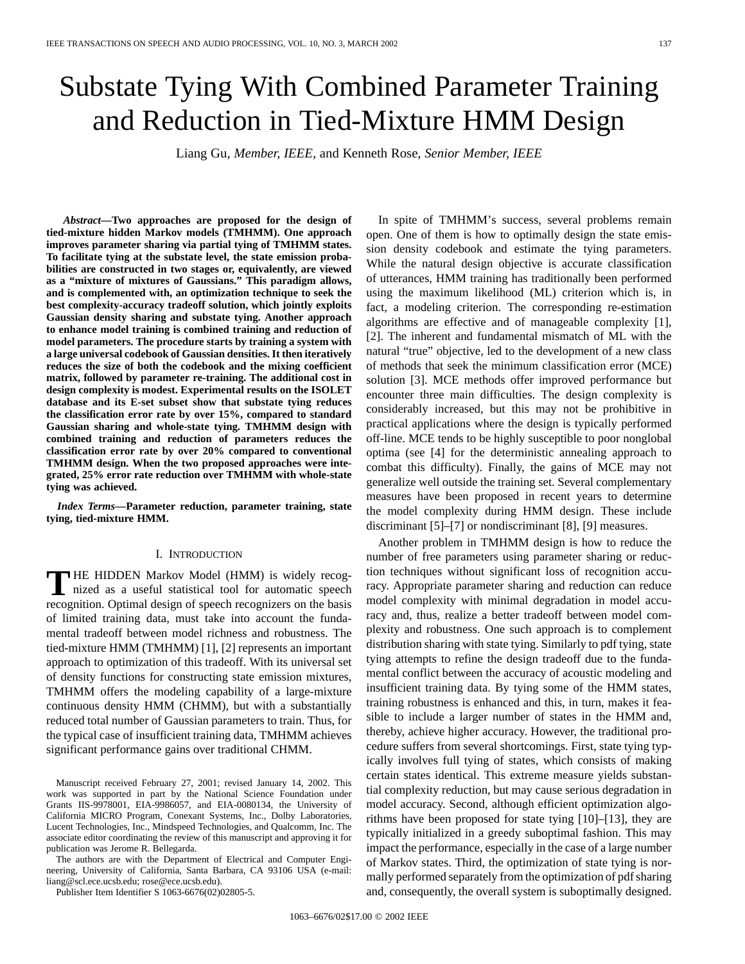# Substate Tying With Combined Parameter Training and Reduction in Tied-Mixture HMM Design

Liang Gu*, Member, IEEE,* and Kenneth Rose*, Senior Member, IEEE*

*Abstract—***Two approaches are proposed for the design of tied-mixture hidden Markov models (TMHMM). One approach improves parameter sharing via partial tying of TMHMM states. To facilitate tying at the substate level, the state emission probabilities are constructed in two stages or, equivalently, are viewed as a "mixture of mixtures of Gaussians." This paradigm allows, and is complemented with, an optimization technique to seek the best complexity-accuracy tradeoff solution, which jointly exploits Gaussian density sharing and substate tying. Another approach to enhance model training is combined training and reduction of model parameters. The procedure starts by training a system with a large universal codebook of Gaussian densities. It then iteratively reduces the size of both the codebook and the mixing coefficient matrix, followed by parameter re-training. The additional cost in design complexity is modest. Experimental results on the ISOLET database and its E-set subset show that substate tying reduces the classification error rate by over 15%, compared to standard Gaussian sharing and whole-state tying. TMHMM design with combined training and reduction of parameters reduces the classification error rate by over 20% compared to conventional TMHMM design. When the two proposed approaches were integrated, 25% error rate reduction over TMHMM with whole-state tying was achieved.**

*Index Terms—***Parameter reduction, parameter training, state tying, tied-mixture HMM.**

## I. INTRODUCTION

**T** HE HIDDEN Markov Model (HMM) is widely recognized as a useful statistical tool for automatic speech recognition. Optimal design of speech recognizers on the basis of limited training data, must take into account the fundamental tradeoff between model richness and robustness. The tied-mixture HMM (TMHMM) [1], [2] represents an important approach to optimization of this tradeoff. With its universal set of density functions for constructing state emission mixtures, TMHMM offers the modeling capability of a large-mixture continuous density HMM (CHMM), but with a substantially reduced total number of Gaussian parameters to train. Thus, for the typical case of insufficient training data, TMHMM achieves significant performance gains over traditional CHMM.

Manuscript received February 27, 2001; revised January 14, 2002. This work was supported in part by the National Science Foundation under Grants IIS-9978001, EIA-9986057, and EIA-0080134, the University of California MICRO Program, Conexant Systems, Inc., Dolby Laboratories, Lucent Technologies, Inc., Mindspeed Technologies, and Qualcomm, Inc. The associate editor coordinating the review of this manuscript and approving it for publication was Jerome R. Bellegarda.

The authors are with the Department of Electrical and Computer Engineering, University of California, Santa Barbara, CA 93106 USA (e-mail: liang@scl.ece.ucsb.edu; rose@ece.ucsb.edu).

Publisher Item Identifier S 1063-6676(02)02805-5.

In spite of TMHMM's success, several problems remain open. One of them is how to optimally design the state emission density codebook and estimate the tying parameters. While the natural design objective is accurate classification of utterances, HMM training has traditionally been performed using the maximum likelihood (ML) criterion which is, in fact, a modeling criterion. The corresponding re-estimation algorithms are effective and of manageable complexity [1], [2]. The inherent and fundamental mismatch of ML with the natural "true" objective, led to the development of a new class of methods that seek the minimum classification error (MCE) solution [3]. MCE methods offer improved performance but encounter three main difficulties. The design complexity is considerably increased, but this may not be prohibitive in practical applications where the design is typically performed off-line. MCE tends to be highly susceptible to poor nonglobal optima (see [4] for the deterministic annealing approach to combat this difficulty). Finally, the gains of MCE may not generalize well outside the training set. Several complementary measures have been proposed in recent years to determine the model complexity during HMM design. These include discriminant [5]–[7] or nondiscriminant [8], [9] measures.

Another problem in TMHMM design is how to reduce the number of free parameters using parameter sharing or reduction techniques without significant loss of recognition accuracy. Appropriate parameter sharing and reduction can reduce model complexity with minimal degradation in model accuracy and, thus, realize a better tradeoff between model complexity and robustness. One such approach is to complement distribution sharing with state tying. Similarly to pdf tying, state tying attempts to refine the design tradeoff due to the fundamental conflict between the accuracy of acoustic modeling and insufficient training data. By tying some of the HMM states, training robustness is enhanced and this, in turn, makes it feasible to include a larger number of states in the HMM and, thereby, achieve higher accuracy. However, the traditional procedure suffers from several shortcomings. First, state tying typically involves full tying of states, which consists of making certain states identical. This extreme measure yields substantial complexity reduction, but may cause serious degradation in model accuracy. Second, although efficient optimization algorithms have been proposed for state tying [10]–[13], they are typically initialized in a greedy suboptimal fashion. This may impact the performance, especially in the case of a large number of Markov states. Third, the optimization of state tying is normally performed separately from the optimization of pdf sharing and, consequently, the overall system is suboptimally designed.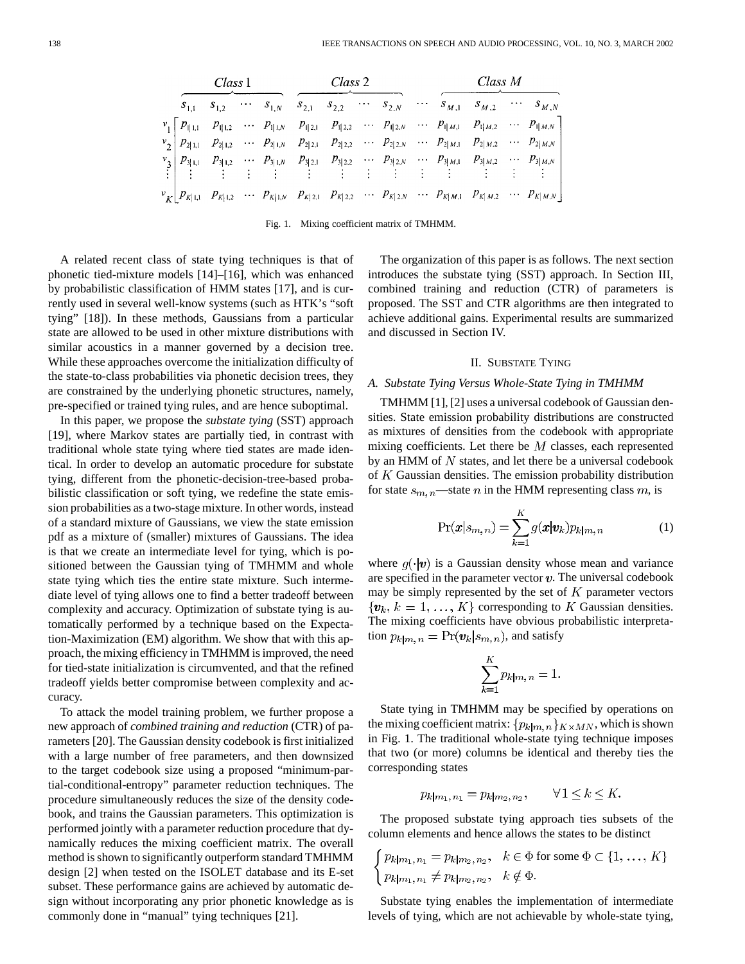| Class 1 |                     |  | Class 2 |  | Class M |  |                                                                                                                                                                                   |  |  |
|---------|---------------------|--|---------|--|---------|--|-----------------------------------------------------------------------------------------------------------------------------------------------------------------------------------|--|--|
|         | $S_{1,1} = S_{1,2}$ |  |         |  |         |  | $\cdots$ $S_{1,N}$ $S_{2,1}$ $S_{2,2}$ $\cdots$ $S_{2,N}$ $\cdots$ $S_{M,1}$ $S_{M,2}$ $\cdots$ $S_{M,N}$                                                                         |  |  |
|         |                     |  |         |  |         |  | $v_1 \begin{vmatrix} p_{1 1,1} & p_{1 1,2} & \cdots & p_{1 1,N} & p_{1 2,1} & p_{1 2,2} & \cdots & p_{1 2,N} & \cdots & p_{1 M,1} & p_{1 M,2} & \cdots & p_{1 M,N} \end{vmatrix}$ |  |  |
|         |                     |  |         |  |         |  | $v_2 p_{2 1,1}p_{2 1,2}$ $p_{2 1,N}p_{2 2,1}p_{2 2,2}$ $p_{2 2,N}p_{2 M,1}p_{2 M,2}$ $p_{2 M,2}p_{2 M,N}$                                                                         |  |  |
|         |                     |  |         |  |         |  |                                                                                                                                                                                   |  |  |
|         |                     |  |         |  |         |  | $\mathcal{V}_{K} P_{K 1,1}$ $P_{K 1,2}$ $\cdots$ $P_{K 1,N}$ $P_{K 2,1}$ $P_{K 2,2}$ $\cdots$ $P_{K 2,N}$ $\cdots$ $P_{K M,1}$ $P_{K M,2}$ $\cdots$ $P_{K M,N}$                   |  |  |

Fig. 1. Mixing coefficient matrix of TMHMM.

A related recent class of state tying techniques is that of phonetic tied-mixture models [14]–[16], which was enhanced by probabilistic classification of HMM states [17], and is currently used in several well-know systems (such as HTK's "soft tying" [18]). In these methods, Gaussians from a particular state are allowed to be used in other mixture distributions with similar acoustics in a manner governed by a decision tree. While these approaches overcome the initialization difficulty of the state-to-class probabilities via phonetic decision trees, they are constrained by the underlying phonetic structures, namely, pre-specified or trained tying rules, and are hence suboptimal.

In this paper, we propose the *substate tying* (SST) approach [19], where Markov states are partially tied, in contrast with traditional whole state tying where tied states are made identical. In order to develop an automatic procedure for substate tying, different from the phonetic-decision-tree-based probabilistic classification or soft tying, we redefine the state emission probabilities as a two-stage mixture. In other words, instead of a standard mixture of Gaussians, we view the state emission pdf as a mixture of (smaller) mixtures of Gaussians. The idea is that we create an intermediate level for tying, which is positioned between the Gaussian tying of TMHMM and whole state tying which ties the entire state mixture. Such intermediate level of tying allows one to find a better tradeoff between complexity and accuracy. Optimization of substate tying is automatically performed by a technique based on the Expectation-Maximization (EM) algorithm. We show that with this approach, the mixing efficiency in TMHMM is improved, the need for tied-state initialization is circumvented, and that the refined tradeoff yields better compromise between complexity and accuracy.

To attack the model training problem, we further propose a new approach of *combined training and reduction* (CTR) of parameters [20]. The Gaussian density codebook is first initialized with a large number of free parameters, and then downsized to the target codebook size using a proposed "minimum-partial-conditional-entropy" parameter reduction techniques. The procedure simultaneously reduces the size of the density codebook, and trains the Gaussian parameters. This optimization is performed jointly with a parameter reduction procedure that dynamically reduces the mixing coefficient matrix. The overall method is shown to significantly outperform standard TMHMM design [2] when tested on the ISOLET database and its E-set subset. These performance gains are achieved by automatic design without incorporating any prior phonetic knowledge as is commonly done in "manual" tying techniques [21].

The organization of this paper is as follows. The next section introduces the substate tying (SST) approach. In Section III, combined training and reduction (CTR) of parameters is proposed. The SST and CTR algorithms are then integrated to achieve additional gains. Experimental results are summarized and discussed in Section IV.

## II. SUBSTATE TYING

# *A. Substate Tying Versus Whole-State Tying in TMHMM*

TMHMM [1], [2] uses a universal codebook of Gaussian densities. State emission probability distributions are constructed as mixtures of densities from the codebook with appropriate mixing coefficients. Let there be  $M$  classes, each represented by an HMM of  $N$  states, and let there be a universal codebook of  $K$  Gaussian densities. The emission probability distribution for state  $s_{m,n}$ —state n in the HMM representing class m, is

$$
\Pr(\boldsymbol{x}|s_{m,n}) = \sum_{k=1}^{K} g(\boldsymbol{x}|\boldsymbol{v}_k) p_{k|m,n}
$$
 (1)

where  $g(\cdot|\mathbf{v})$  is a Gaussian density whose mean and variance are specified in the parameter vector  $\boldsymbol{v}$ . The universal codebook may be simply represented by the set of  $K$  parameter vectors  $\{v_k, k = 1, \ldots, K\}$  corresponding to K Gaussian densities. The mixing coefficients have obvious probabilistic interpretation  $p_{k|m, n} = \Pr(\mathbf{v}_k | s_{m,n})$ , and satisfy

$$
\sum_{k=1}^{K} p_{k|m,n} = 1.
$$

State tying in TMHMM may be specified by operations on the mixing coefficient matrix:  $\{p_{k|m,n}\}_{K\times MN}$ , which is shown in Fig. 1. The traditional whole-state tying technique imposes that two (or more) columns be identical and thereby ties the corresponding states

$$
p_{k|m_1, n_1} = p_{k|m_2, n_2}, \quad \forall 1 \le k \le K.
$$

The proposed substate tying approach ties subsets of the column elements and hence allows the states to be distinct

$$
p_{k|m_1, n_1} = p_{k|m_2, n_2}, \quad k \in \Phi \text{ for some } \Phi \subset \{1, ..., K\}
$$
  

$$
p_{k|m_1, n_1} \neq p_{k|m_2, n_2}, \quad k \notin \Phi.
$$

Substate tying enables the implementation of intermediate levels of tying, which are not achievable by whole-state tying,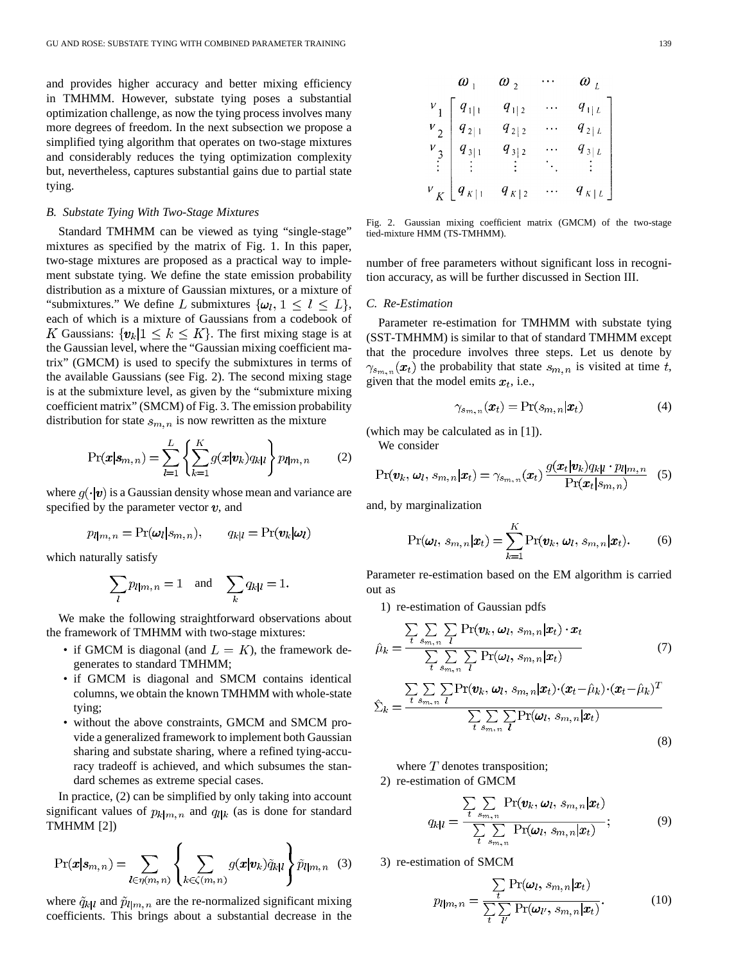and provides higher accuracy and better mixing efficiency in TMHMM. However, substate tying poses a substantial optimization challenge, as now the tying process involves many more degrees of freedom. In the next subsection we propose a simplified tying algorithm that operates on two-stage mixtures and considerably reduces the tying optimization complexity but, nevertheless, captures substantial gains due to partial state tying.

## *B. Substate Tying With Two-Stage Mixtures*

Standard TMHMM can be viewed as tying "single-stage" mixtures as specified by the matrix of Fig. 1. In this paper, two-stage mixtures are proposed as a practical way to implement substate tying. We define the state emission probability distribution as a mixture of Gaussian mixtures, or a mixture of "submixtures." We define L submixtures  $\{\omega_l, 1 \leq l \leq L\}$ , each of which is a mixture of Gaussians from a codebook of K Gaussians:  $\{v_k|1 \leq k \leq K\}$ . The first mixing stage is at the Gaussian level, where the "Gaussian mixing coefficient matrix" (GMCM) is used to specify the submixtures in terms of the available Gaussians (see Fig. 2). The second mixing stage is at the submixture level, as given by the "submixture mixing coefficient matrix" (SMCM) of Fig. 3. The emission probability distribution for state  $s_{m,n}$  is now rewritten as the mixture

$$
\Pr(\boldsymbol{x}|\boldsymbol{s}_{m,n}) = \sum_{l=1}^{L} \left\{ \sum_{k=1}^{K} g(\boldsymbol{x}|\boldsymbol{v}_k) q_{k|l} \right\} p_{l|m,n} \qquad (2)
$$

where  $g(\cdot | v)$  is a Gaussian density whose mean and variance are specified by the parameter vector  $v$ , and

$$
p_{l|m,n} = \Pr(\omega_l | s_{m,n}), \qquad q_{k|l} = \Pr(v_k | \omega_l)
$$

which naturally satisfy

$$
\sum_l p_{l|m,\,n}=1\quad\text{and}\quad\sum_k q_{k|l}=1.
$$

We make the following straightforward observations about the framework of TMHMM with two-stage mixtures:

- if GMCM is diagonal (and  $L = K$ ), the framework degenerates to standard TMHMM;
- if GMCM is diagonal and SMCM contains identical columns, we obtain the known TMHMM with whole-state tying;
- without the above constraints, GMCM and SMCM provide a generalized framework to implement both Gaussian sharing and substate sharing, where a refined tying-accuracy tradeoff is achieved, and which subsumes the standard schemes as extreme special cases.

In practice, (2) can be simplified by only taking into account significant values of  $p_{k|m,n}$  and  $q_{l|k}$  (as is done for standard TMHMM [2])

$$
\Pr(\boldsymbol{x}|\boldsymbol{s}_{m,n}) = \sum_{l \in \eta(m,n)} \left\{ \sum_{k \in \zeta(m,n)} g(\boldsymbol{x}|\boldsymbol{v}_{k}) \tilde{q}_{k|l} \right\} \tilde{p}_{l|m,n} \quad (3)
$$

where  $\tilde{q}_{k|l}$  and  $\tilde{p}_{l|m,n}$  are the re-normalized significant mixing coefficients. This brings about a substantial decrease in the

$$
\begin{bmatrix}\n\omega_1 & \omega_2 & \cdots & \omega_L \\
v_1 & q_{1|1} & q_{1|2} & \cdots & q_{1|L} \\
v_2 & q_{2|1} & q_{2|2} & \cdots & q_{2|L} \\
v_3 & q_{3|1} & q_{3|2} & \cdots & q_{3|L} \\
\vdots & \vdots & \vdots & \ddots & \vdots \\
v_K & q_{K|1} & q_{K|2} & \cdots & q_{K|L}\n\end{bmatrix}
$$

Fig. 2. Gaussian mixing coefficient matrix (GMCM) of the two-stage tied-mixture HMM (TS-TMHMM).

number of free parameters without significant loss in recognition accuracy, as will be further discussed in Section III.

#### *C. Re-Estimation*

 $v_{2}$  $\begin{smallmatrix}v\\&3\end{smallmatrix}$ 

Parameter re-estimation for TMHMM with substate tying (SST-TMHMM) is similar to that of standard TMHMM except that the procedure involves three steps. Let us denote by  $\gamma_{s_{m,n}}(\mathbf{x}_t)$  the probability that state  $s_{m,n}$  is visited at time t, given that the model emits  $x_t$ , i.e.,

$$
\gamma_{s_m,n}(\boldsymbol{x}_t) = \Pr(s_{m,n}|\boldsymbol{x}_t) \tag{4}
$$

 $2 - 1 - 2$ 

(which may be calculated as in [1]).

We consider

$$
\Pr(\boldsymbol{v}_k, \boldsymbol{\omega}_l, \, s_{m,\,n}|\boldsymbol{x}_t) = \gamma_{s_{m,\,n}}(\boldsymbol{x}_t) \, \frac{g(\boldsymbol{x}_t|\boldsymbol{v}_k)q_{k|l} \cdot p_{l|m,\,n}}{\Pr(\boldsymbol{x}_t|s_{m,\,n})} \quad (5)
$$

and, by marginalization

$$
\Pr(\boldsymbol{\omega}_l, s_{m,n}|\boldsymbol{x}_t) = \sum_{k=1}^K \Pr(\boldsymbol{v}_k, \boldsymbol{\omega}_l, s_{m,n}|\boldsymbol{x}_t).
$$
 (6)

Parameter re-estimation based on the EM algorithm is carried out as

1) re-estimation of Gaussian pdfs

$$
\hat{\mu}_k = \frac{\sum_{t} \sum_{s_{m,n}} \sum_{l} \Pr(\mathbf{v}_k, \mathbf{\omega}_l, s_{m,n} | \mathbf{x}_t) \cdot \mathbf{x}_t}{\sum_{t} \sum_{s_{m,n}} \sum_{l} \sum_{l} \Pr(\mathbf{\omega}_l, s_{m,n} | \mathbf{x}_t)} \tag{7}
$$
\n
$$
\hat{\Sigma}_k = \frac{\sum_{t} \sum_{s_{m,n}} \sum_{l} \Pr(\mathbf{v}_k, \mathbf{\omega}_l, s_{m,n} | \mathbf{x}_t) \cdot (\mathbf{x}_t - \hat{\mu}_k) \cdot (\mathbf{x}_t - \hat{\mu}_k)^T}{\sum_{l} \sum_{l} \sum_{l} \Pr(\mathbf{v}_k, s_{m,l} | \mathbf{x}_l)}
$$

$$
k = \frac{\sum_{t \ s_{m,n}} \sum_{l} \Pr(\boldsymbol{\omega_l}, s_{m,n} | \boldsymbol{x}_t)}{t \ s_{m,n} \ l \tag{8}}
$$

where  $T$  denotes transposition;

2) re-estimation of GMCM<br>  $q_{kll} = \frac{\sum_{t} \sum_{s_{m,n}} \Pr(\mathbf{v}_k, \mathbf{\omega}_l, s_{m,n} | \mathbf{x}_t)}{\sum_{t} \sum_{s_{m,n}} \Pr(\mathbf{\omega}_l, s_{m,n} | \mathbf{x}_t)};$ 

(9)

3) re-estimation of SMCM

$$
p_{l|m,n} = \frac{\sum_{t} \Pr(\omega_l, s_{m,n} | \mathbf{x}_t)}{\sum_{t} \sum_{l'} \Pr(\omega_{l'}, s_{m,n} | \mathbf{x}_t)}.
$$
(10)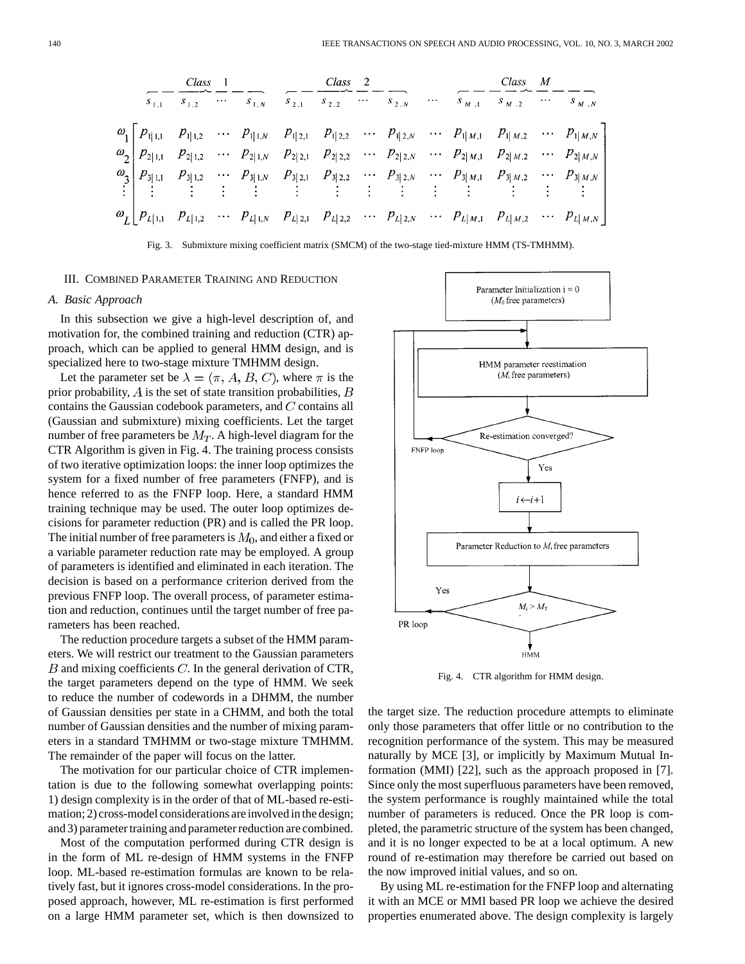Fig. 3. Submixture mixing coefficient matrix (SMCM) of the two-stage tied-mixture HMM (TS-TMHMM).

# III. COMBINED PARAMETER TRAINING AND REDUCTION

## *A. Basic Approach*

In this subsection we give a high-level description of, and motivation for, the combined training and reduction (CTR) approach, which can be applied to general HMM design, and is specialized here to two-stage mixture TMHMM design.

Let the parameter set be  $\lambda = (\pi, A, B, C)$ , where  $\pi$  is the prior probability,  $A$  is the set of state transition probabilities,  $B$ contains the Gaussian codebook parameters, and  $C$  contains all (Gaussian and submixture) mixing coefficients. Let the target number of free parameters be  $M_T$ . A high-level diagram for the CTR Algorithm is given in Fig. 4. The training process consists of two iterative optimization loops: the inner loop optimizes the system for a fixed number of free parameters (FNFP), and is hence referred to as the FNFP loop. Here, a standard HMM training technique may be used. The outer loop optimizes decisions for parameter reduction (PR) and is called the PR loop. The initial number of free parameters is  $M_0$ , and either a fixed or a variable parameter reduction rate may be employed. A group of parameters is identified and eliminated in each iteration. The decision is based on a performance criterion derived from the previous FNFP loop. The overall process, of parameter estimation and reduction, continues until the target number of free parameters has been reached.

The reduction procedure targets a subset of the HMM parameters. We will restrict our treatment to the Gaussian parameters  $B$  and mixing coefficients  $C$ . In the general derivation of CTR, the target parameters depend on the type of HMM. We seek to reduce the number of codewords in a DHMM, the number of Gaussian densities per state in a CHMM, and both the total number of Gaussian densities and the number of mixing parameters in a standard TMHMM or two-stage mixture TMHMM. The remainder of the paper will focus on the latter.

The motivation for our particular choice of CTR implementation is due to the following somewhat overlapping points: 1) design complexity is in the order of that of ML-based re-estimation; 2) cross-model considerations are involved in the design; and 3) parameter training and parameter reduction are combined.

Most of the computation performed during CTR design is in the form of ML re-design of HMM systems in the FNFP loop. ML-based re-estimation formulas are known to be relatively fast, but it ignores cross-model considerations. In the proposed approach, however, ML re-estimation is first performed on a large HMM parameter set, which is then downsized to



Fig. 4. CTR algorithm for HMM design.

the target size. The reduction procedure attempts to eliminate only those parameters that offer little or no contribution to the recognition performance of the system. This may be measured naturally by MCE [3], or implicitly by Maximum Mutual Information (MMI) [22], such as the approach proposed in [7]. Since only the most superfluous parameters have been removed, the system performance is roughly maintained while the total number of parameters is reduced. Once the PR loop is completed, the parametric structure of the system has been changed, and it is no longer expected to be at a local optimum. A new round of re-estimation may therefore be carried out based on the now improved initial values, and so on.

By using ML re-estimation for the FNFP loop and alternating it with an MCE or MMI based PR loop we achieve the desired properties enumerated above. The design complexity is largely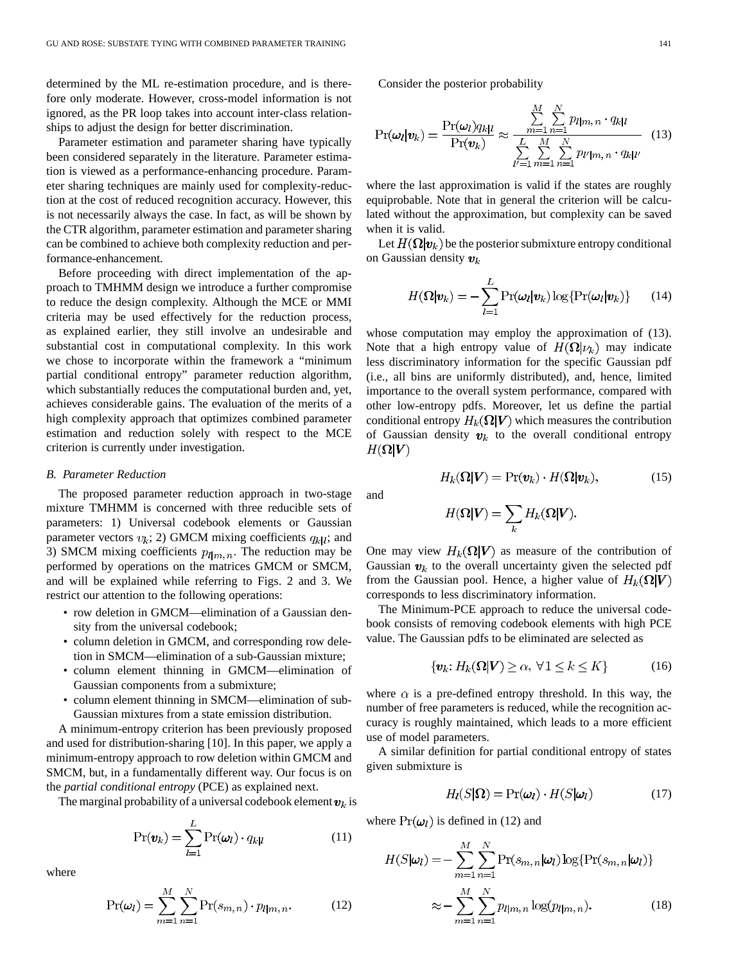determined by the ML re-estimation procedure, and is therefore only moderate. However, cross-model information is not ignored, as the PR loop takes into account inter-class relationships to adjust the design for better discrimination.

Parameter estimation and parameter sharing have typically been considered separately in the literature. Parameter estimation is viewed as a performance-enhancing procedure. Parameter sharing techniques are mainly used for complexity-reduction at the cost of reduced recognition accuracy. However, this is not necessarily always the case. In fact, as will be shown by the CTR algorithm, parameter estimation and parameter sharing can be combined to achieve both complexity reduction and performance-enhancement.

Before proceeding with direct implementation of the approach to TMHMM design we introduce a further compromise to reduce the design complexity. Although the MCE or MMI criteria may be used effectively for the reduction process, as explained earlier, they still involve an undesirable and substantial cost in computational complexity. In this work we chose to incorporate within the framework a "minimum partial conditional entropy" parameter reduction algorithm, which substantially reduces the computational burden and, yet, achieves considerable gains. The evaluation of the merits of a high complexity approach that optimizes combined parameter estimation and reduction solely with respect to the MCE criterion is currently under investigation.

#### *B. Parameter Reduction*

The proposed parameter reduction approach in two-stage mixture TMHMM is concerned with three reducible sets of parameters: 1) Universal codebook elements or Gaussian parameter vectors  $v_k$ ; 2) GMCM mixing coefficients  $q_{kl}$ ; and 3) SMCM mixing coefficients  $p_{l|m,n}$ . The reduction may be performed by operations on the matrices GMCM or SMCM, and will be explained while referring to Figs. 2 and 3. We restrict our attention to the following operations:

- row deletion in GMCM—elimination of a Gaussian density from the universal codebook;
- column deletion in GMCM, and corresponding row deletion in SMCM—elimination of a sub-Gaussian mixture;
- column element thinning in GMCM—elimination of Gaussian components from a submixture;
- column element thinning in SMCM—elimination of sub-Gaussian mixtures from a state emission distribution.

A minimum-entropy criterion has been previously proposed and used for distribution-sharing [10]. In this paper, we apply a minimum-entropy approach to row deletion within GMCM and SMCM, but, in a fundamentally different way. Our focus is on the *partial conditional entropy* (PCE) as explained next.

The marginal probability of a universal codebook element  $v_k$  is

$$
\Pr(\boldsymbol{v}_k) = \sum_{l=1}^{L} \Pr(\boldsymbol{\omega}_l) \cdot q_{k|l}
$$
 (11)

where

$$
\Pr(\omega_l) = \sum_{m=1}^{M} \sum_{n=1}^{N} \Pr(s_{m,n}) \cdot p_{l|m,n}.
$$
 (12)

Consider the posterior probability

$$
Pr(\boldsymbol{\omega_l}|\boldsymbol{v_k}) = \frac{Pr(\boldsymbol{\omega_l})q_{k|l}}{Pr(\boldsymbol{v_k})} \approx \frac{\sum_{m=1}^{M} \sum_{n=1}^{N} p_{l|m,n} \cdot q_{k|l}}{\sum_{l'=1}^{L} \sum_{m=1}^{M} \sum_{n=1}^{N} p_{l'|m,n} \cdot q_{k|l'}} \quad (13)
$$

where the last approximation is valid if the states are roughly equiprobable. Note that in general the criterion will be calculated without the approximation, but complexity can be saved when it is valid.

Let  $H(\Omega | v_k)$  be the posterior submixture entropy conditional on Gaussian density  $v_k$ 

$$
H(\mathbf{\Omega}|\mathbf{v}_k) = -\sum_{l=1}^{L} \Pr(\mathbf{\omega}_l|\mathbf{v}_k) \log \{\Pr(\mathbf{\omega}_l|\mathbf{v}_k)\} \qquad (14)
$$

whose computation may employ the approximation of  $(13)$ . Note that a high entropy value of  $H(\Omega|\nu_k)$  may indicate less discriminatory information for the specific Gaussian pdf (i.e., all bins are uniformly distributed), and, hence, limited importance to the overall system performance, compared with other low-entropy pdfs. Moreover, let us define the partial conditional entropy  $H_k(\Omega|V)$  which measures the contribution of Gaussian density  $v_k$  to the overall conditional entropy  $H(\mathbf{\Omega}|\boldsymbol{V})$ 

$$
H_k(\Omega|V) = \Pr(v_k) \cdot H(\Omega|v_k),\tag{15}
$$

$$
H(\mathbf{\Omega}|\boldsymbol{V}) = \sum_{k} H_k(\mathbf{\Omega}|\boldsymbol{V}).
$$

and

One may view  $H_k(\Omega|V)$  as measure of the contribution of Gaussian  $v_k$  to the overall uncertainty given the selected pdf from the Gaussian pool. Hence, a higher value of  $H_k(\Omega|V)$ corresponds to less discriminatory information.

The Minimum-PCE approach to reduce the universal codebook consists of removing codebook elements with high PCE value. The Gaussian pdfs to be eliminated are selected as

$$
\{\mathbf{v}_k: H_k(\mathbf{\Omega}|\mathbf{V}) \ge \alpha, \,\forall \, 1 \le k \le K\} \tag{16}
$$

where  $\alpha$  is a pre-defined entropy threshold. In this way, the number of free parameters is reduced, while the recognition accuracy is roughly maintained, which leads to a more efficient use of model parameters.

A similar definition for partial conditional entropy of states given submixture is

$$
H_l(S|\Omega) = \Pr(\omega_l) \cdot H(S|\omega_l)
$$
 (17)

where  $Pr(\omega_l)$  is defined in (12) and

$$
H(S|\boldsymbol{\omega}_l) = -\sum_{m=1}^{M} \sum_{n=1}^{N} \Pr(s_{m,n}|\boldsymbol{\omega}_l) \log \{ \Pr(s_{m,n}|\boldsymbol{\omega}_l) \}
$$

$$
\approx -\sum_{m=1}^{M} \sum_{n=1}^{N} p_{l|m,n} \log(p_{l|m,n}). \tag{18}
$$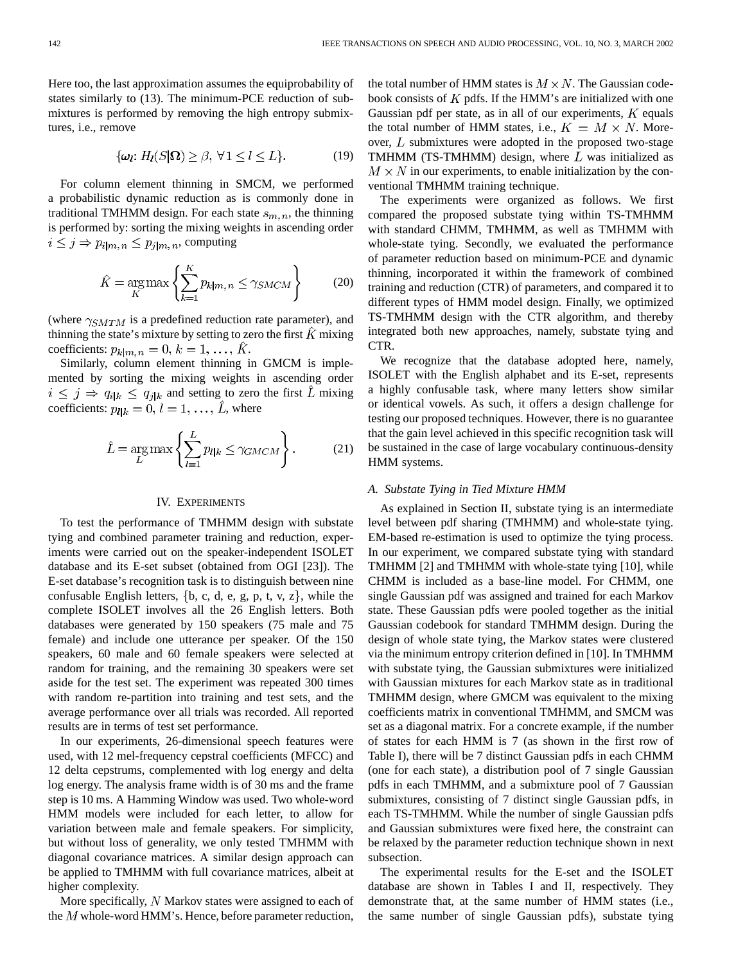Here too, the last approximation assumes the equiprobability of states similarly to (13). The minimum-PCE reduction of submixtures is performed by removing the high entropy submixtures, i.e., remove

$$
\{\omega_l: H_l(S|\Omega) \ge \beta, \,\forall 1 \le l \le L\}.
$$
 (19)

For column element thinning in SMCM, we performed a probabilistic dynamic reduction as is commonly done in traditional TMHMM design. For each state  $s_{m, n}$ , the thinning is performed by: sorting the mixing weights in ascending order  $i \leq j \Rightarrow p_{i|m,n} \leq p_{j|m,n}$ , computing

$$
\hat{K} = \underset{K}{\text{arg max}} \left\{ \sum_{k=1}^{K} p_{k|m,n} \leq \gamma_{SMCM} \right\} \tag{20}
$$

(where  $\gamma_{SMTM}$  is a predefined reduction rate parameter), and thinning the state's mixture by setting to zero the first  $\hat{K}$  mixing coefficients:  $p_{k|m,n} = 0, k = 1, ..., K$ .

Similarly, column element thinning in GMCM is implemented by sorting the mixing weights in ascending order  $i \leq j \Rightarrow q_{i|k} \leq q_{i|k}$  and setting to zero the first L mixing coefficients:  $p_{l|k} = 0, l = 1, ..., \hat{L}$ , where

$$
\hat{L} = \underset{L}{\arg \max} \left\{ \sum_{l=1}^{L} p_{l|k} \leq \gamma_{GMCM} \right\}.
$$
 (21)

## IV. EXPERIMENTS

To test the performance of TMHMM design with substate tying and combined parameter training and reduction, experiments were carried out on the speaker-independent ISOLET database and its E-set subset (obtained from OGI [23]). The E-set database's recognition task is to distinguish between nine confusable English letters,  $\{b, c, d, e, g, p, t, v, z\}$ , while the complete ISOLET involves all the 26 English letters. Both databases were generated by 150 speakers (75 male and 75 female) and include one utterance per speaker. Of the 150 speakers, 60 male and 60 female speakers were selected at random for training, and the remaining 30 speakers were set aside for the test set. The experiment was repeated 300 times with random re-partition into training and test sets, and the average performance over all trials was recorded. All reported results are in terms of test set performance.

In our experiments, 26-dimensional speech features were used, with 12 mel-frequency cepstral coefficients (MFCC) and 12 delta cepstrums, complemented with log energy and delta log energy. The analysis frame width is of 30 ms and the frame step is 10 ms. A Hamming Window was used. Two whole-word HMM models were included for each letter, to allow for variation between male and female speakers. For simplicity, but without loss of generality, we only tested TMHMM with diagonal covariance matrices. A similar design approach can be applied to TMHMM with full covariance matrices, albeit at higher complexity.

More specifically,  $N$  Markov states were assigned to each of the  $M$  whole-word HMM's. Hence, before parameter reduction, the total number of HMM states is  $M \times N$ . The Gaussian codebook consists of  $K$  pdfs. If the HMM's are initialized with one Gaussian pdf per state, as in all of our experiments,  $K$  equals the total number of HMM states, i.e.,  $K = M \times N$ . Moreover,  $L$  submixtures were adopted in the proposed two-stage TMHMM (TS-TMHMM) design, where  $L$  was initialized as  $M \times N$  in our experiments, to enable initialization by the conventional TMHMM training technique.

The experiments were organized as follows. We first compared the proposed substate tying within TS-TMHMM with standard CHMM, TMHMM, as well as TMHMM with whole-state tying. Secondly, we evaluated the performance of parameter reduction based on minimum-PCE and dynamic thinning, incorporated it within the framework of combined training and reduction (CTR) of parameters, and compared it to different types of HMM model design. Finally, we optimized TS-TMHMM design with the CTR algorithm, and thereby integrated both new approaches, namely, substate tying and CTR.

We recognize that the database adopted here, namely, ISOLET with the English alphabet and its E-set, represents a highly confusable task, where many letters show similar or identical vowels. As such, it offers a design challenge for testing our proposed techniques. However, there is no guarantee that the gain level achieved in this specific recognition task will be sustained in the case of large vocabulary continuous-density HMM systems.

## *A. Substate Tying in Tied Mixture HMM*

As explained in Section II, substate tying is an intermediate level between pdf sharing (TMHMM) and whole-state tying. EM-based re-estimation is used to optimize the tying process. In our experiment, we compared substate tying with standard TMHMM [2] and TMHMM with whole-state tying [10], while CHMM is included as a base-line model. For CHMM, one single Gaussian pdf was assigned and trained for each Markov state. These Gaussian pdfs were pooled together as the initial Gaussian codebook for standard TMHMM design. During the design of whole state tying, the Markov states were clustered via the minimum entropy criterion defined in [10]. In TMHMM with substate tying, the Gaussian submixtures were initialized with Gaussian mixtures for each Markov state as in traditional TMHMM design, where GMCM was equivalent to the mixing coefficients matrix in conventional TMHMM, and SMCM was set as a diagonal matrix. For a concrete example, if the number of states for each HMM is 7 (as shown in the first row of Table I), there will be 7 distinct Gaussian pdfs in each CHMM (one for each state), a distribution pool of 7 single Gaussian pdfs in each TMHMM, and a submixture pool of 7 Gaussian submixtures, consisting of 7 distinct single Gaussian pdfs, in each TS-TMHMM. While the number of single Gaussian pdfs and Gaussian submixtures were fixed here, the constraint can be relaxed by the parameter reduction technique shown in next subsection.

The experimental results for the E-set and the ISOLET database are shown in Tables I and II, respectively. They demonstrate that, at the same number of HMM states (i.e., the same number of single Gaussian pdfs), substate tying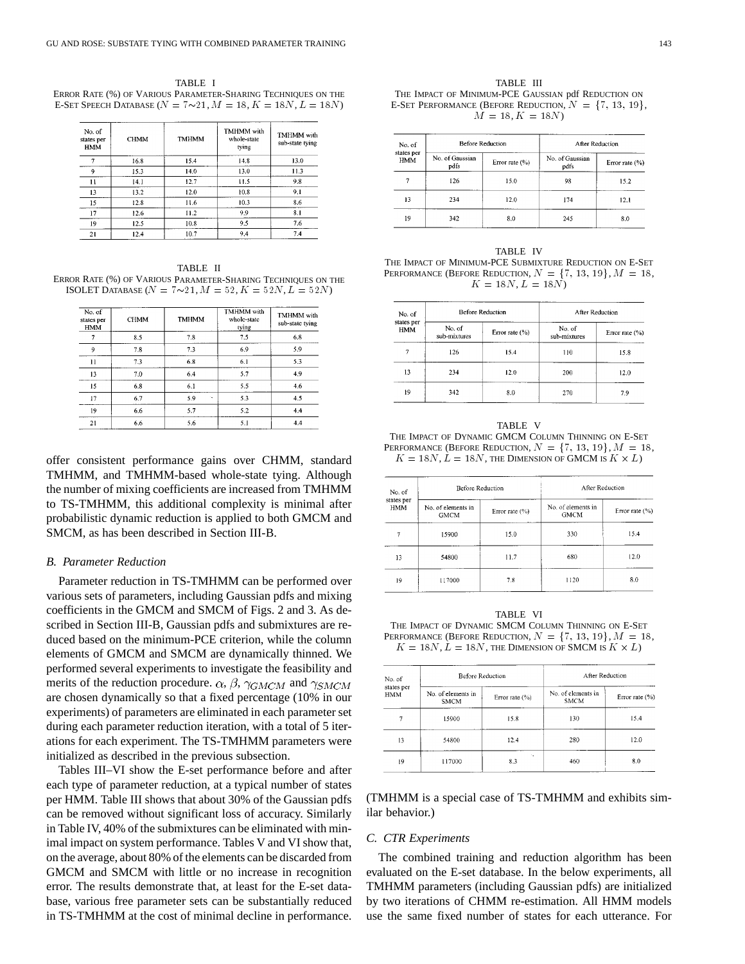TABLE I ERROR RATE (%) OF VARIOUS PARAMETER-SHARING TECHNIQUES ON THE E-SET SPEECH DATABASE ( $N=7{\sim}21, M=18, K=18N, L=18N)$ 

| No. of<br>states per<br><b>HMM</b> | <b>CHMM</b> | <b>TMHMM</b> | TMHMM with<br>whole-state<br>tying | <b>TMHMM</b> with<br>sub-state tying |
|------------------------------------|-------------|--------------|------------------------------------|--------------------------------------|
| 7                                  | 16.8        | 15.4         | 14.8                               | 13.0                                 |
| 9                                  | 15.3        | 14.0         | 13.0                               | 11.3                                 |
| 11                                 | 14.1        | 12.7         | 11.5                               | 9.8                                  |
| 13                                 | 13.2        | 12.0         | 10.8                               | 9.1                                  |
| 15                                 | 12.8        | 11.6         | 10.3                               | 8.6                                  |
| 17                                 | 12.6        | 11.2         | 9.9                                | 8.1                                  |
| 19                                 | 12.5        | 10.8         | 9.5                                | 7.6                                  |
| 21                                 | 12.4        | 10.7         | 9.4                                | 7.4                                  |

TABLE II ERROR RATE (%) OF VARIOUS PARAMETER-SHARING TECHNIQUES ON THE ISOLET DATABASE  $(N = 7 \sim 21, M = 52, K = 52N, L = 52N)$ 

| No. of<br>states per<br>HMM | <b>CHMM</b> | <b>TMHMM</b> | TMHMM with<br>whole-state<br>tying | TMHMM with<br>sub-state tying |
|-----------------------------|-------------|--------------|------------------------------------|-------------------------------|
|                             | 8.5         | 7.8          | 7.5                                | 6.8                           |
| 9                           | 7.8         | 7.3          | 6.9                                | 5.9                           |
| $\mathbf{1}$                | 7.3         | 6.8          | 6.1                                | 5.3                           |
| 13                          | 7.0         | 6.4          | 5.7                                | 4.9                           |
| 15                          | 6.8         | 6.1          | 5.5                                | 4.6                           |
| 17                          | 6.7         | 5.9<br>۰.    | 5.3                                | 4.5                           |
| 19                          | 6.6         | 5.7          | 5.2                                | 4.4                           |
| 21                          | 6.6         | 5.6          | 5.1                                | 4,4                           |

offer consistent performance gains over CHMM, standard TMHMM, and TMHMM-based whole-state tying. Although the number of mixing coefficients are increased from TMHMM to TS-TMHMM, this additional complexity is minimal after probabilistic dynamic reduction is applied to both GMCM and SMCM, as has been described in Section III-B.

## *B. Parameter Reduction*

Parameter reduction in TS-TMHMM can be performed over various sets of parameters, including Gaussian pdfs and mixing coefficients in the GMCM and SMCM of Figs. 2 and 3. As described in Section III-B, Gaussian pdfs and submixtures are reduced based on the minimum-PCE criterion, while the column elements of GMCM and SMCM are dynamically thinned. We performed several experiments to investigate the feasibility and merits of the reduction procedure.  $\alpha$ ,  $\beta$ ,  $\gamma_{GMCM}$  and  $\gamma_{SMCM}$ are chosen dynamically so that a fixed percentage (10% in our experiments) of parameters are eliminated in each parameter set during each parameter reduction iteration, with a total of 5 iterations for each experiment. The TS-TMHMM parameters were initialized as described in the previous subsection.

Tables III–VI show the E-set performance before and after each type of parameter reduction, at a typical number of states per HMM. Table III shows that about 30% of the Gaussian pdfs can be removed without significant loss of accuracy. Similarly in Table IV, 40% of the submixtures can be eliminated with minimal impact on system performance. Tables V and VI show that, on the average, about 80% of the elements can be discarded from GMCM and SMCM with little or no increase in recognition error. The results demonstrate that, at least for the E-set database, various free parameter sets can be substantially reduced in TS-TMHMM at the cost of minimal decline in performance.

TABLE III THE IMPACT OF MINIMUM-PCE GAUSSIAN pdf REDUCTION ON E-SET PERFORMANCE (BEFORE REDUCTION,  $N = \{7, 13, 19\},\$  $M = 18, K = 18N$ 

| No. of            | <b>Before Reduction</b> |                    |                         | After Reduction    |  |
|-------------------|-------------------------|--------------------|-------------------------|--------------------|--|
| states per<br>HMM | No. of Gaussian<br>pdfs | Error rate $(\% )$ | No. of Gaussian<br>pdfs | Error rate $(\% )$ |  |
| 7                 | 126                     | 15.0               | 98                      | 15.2               |  |
| 13                | 234                     | 12.0               | 174                     | 12.1               |  |
| 19                | 342                     | 8.0                | 245                     | 8.0                |  |

TABLE IV THE IMPACT OF MINIMUM-PCE SUBMIXTURE REDUCTION ON E-SET PERFORMANCE (BEFORE REDUCTION,  $N = \{7, 13, 19\}, M = 18$ ,  $K = 18N, L = 18N$ 

| No. of                   |                        | <b>Before Reduction</b> |                        | <b>After Reduction</b> |  |
|--------------------------|------------------------|-------------------------|------------------------|------------------------|--|
| states per<br><b>HMM</b> | No. of<br>sub-mixtures | Error rate $(\%)$       | No. of<br>sub-mixtures | Error rate $(\%)$      |  |
| 7                        | 126                    | 15.4                    | 110                    | 15.8                   |  |
| 13                       | 234                    | 12.0                    | 200                    | 12.0                   |  |
| 19                       | 342                    | 8.0                     | 270                    | 7.9                    |  |

TABLE V THE IMPACT OF DYNAMIC GMCM COLUMN THINNING ON E-SET PERFORMANCE (BEFORE REDUCTION,  $N = \{7, 13, 19\}, M = 18$ ,  $K = 18N$ ,  $L = 18N$ , the DIMENSION OF GMCM IS  $K \times L$ )

| No. of                   |                                   | <b>Before Reduction</b> |                                   | After Reduction   |  |
|--------------------------|-----------------------------------|-------------------------|-----------------------------------|-------------------|--|
| states per<br><b>HMM</b> | No. of elements in<br><b>GMCM</b> | Error rate $(%$         | No. of elements in<br><b>GMCM</b> | Error rate $(\%)$ |  |
|                          | 15900                             | 15.0                    | 330                               | 15.4              |  |
| 13                       | 54800                             | 11.7                    | 680                               | 12.0              |  |
| 19                       | 117000                            | 7.8                     | 1120                              | 8.0               |  |

TABLE VI THE IMPACT OF DYNAMIC SMCM COLUMN THINNING ON E-SET PERFORMANCE (BEFORE REDUCTION,  $N = \{7, 13, 19\}, M = 18$ ,  $K = 18N$ ,  $L = 18N$ , the DIMENSION OF SMCM IS  $K \times L$ 

| No. of                   | <b>Before Reduction</b>           |                   | After Reduction                   |                    |
|--------------------------|-----------------------------------|-------------------|-----------------------------------|--------------------|
| states per<br><b>HMM</b> | No. of elements in<br><b>SMCM</b> | Error rate $(\%)$ | No. of elements in<br><b>SMCM</b> | Error rate $(\% )$ |
| 7                        | 15900                             | 15.8              | 130                               | 15.4               |
| 13                       | 54800                             | 12.4              | 280                               | 12.0               |
| 19                       | 117000                            | ×.<br>8.3         | 460                               | 8.0                |

(TMHMM is a special case of TS-TMHMM and exhibits similar behavior.)

#### *C. CTR Experiments*

The combined training and reduction algorithm has been evaluated on the E-set database. In the below experiments, all TMHMM parameters (including Gaussian pdfs) are initialized by two iterations of CHMM re-estimation. All HMM models use the same fixed number of states for each utterance. For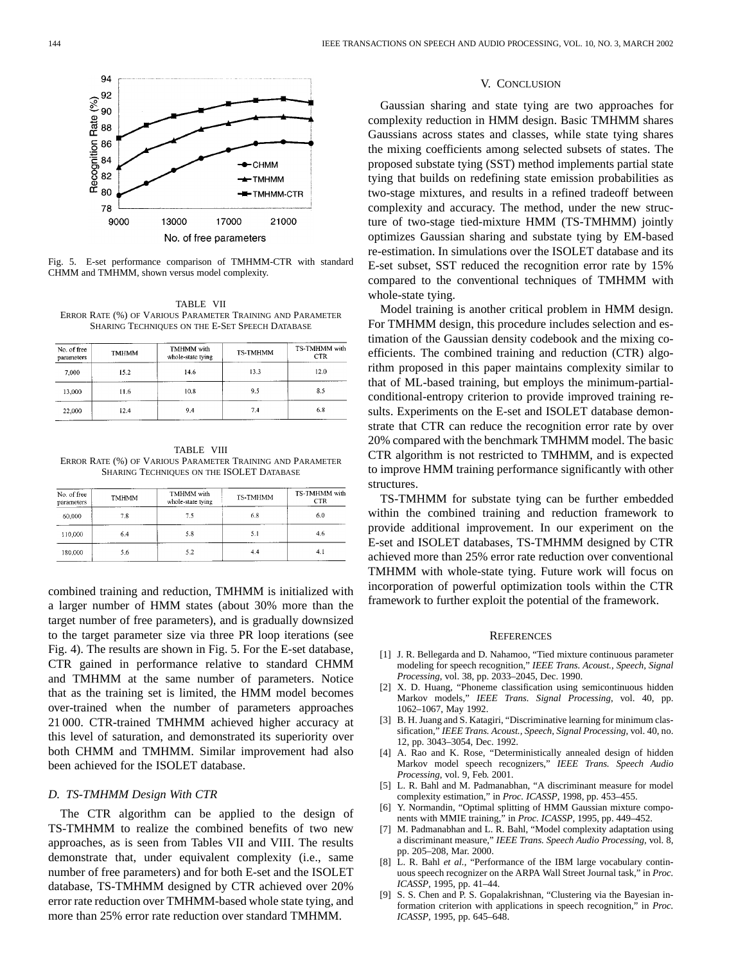

Fig. 5. E-set performance comparison of TMHMM-CTR with standard CHMM and TMHMM, shown versus model complexity.

TABLE VII ERROR RATE (%) OF VARIOUS PARAMETER TRAINING AND PARAMETER SHARING TECHNIQUES ON THE E-SET SPEECH DATABASE

| No. of free<br>parameters | <b>TMHMM</b> | TMHMM with<br>whole-state tying | <b>TS-TMHMM</b> | TS-TMHMM with<br>CTR |
|---------------------------|--------------|---------------------------------|-----------------|----------------------|
| 7,000                     | 15.2         | 14.6                            | 13.3            | 12.0                 |
| 13,000                    | 11.6         | 10.8                            | 9.5             | 8.5                  |
| 22,000                    | 12.4         | 9.4                             | 7.4             | 6.8                  |

TABLE VIII ERROR RATE (%) OF VARIOUS PARAMETER TRAINING AND PARAMETER SHARING TECHNIQUES ON THE ISOLET DATABASE

| No. of free<br>parameters | <b>TMHMM</b> | TMHMM with<br>whole-state tying | TS-TMHMM | TS-TMHMM with<br><b>CTR</b> |
|---------------------------|--------------|---------------------------------|----------|-----------------------------|
| 60,000                    | 7.8          | 7.5                             | 6.8      | 6.0                         |
| 110,000                   | 6.4          | 5.8                             | 5.1      | 4.6                         |
| 180,000                   | 5.6<br>----  | 5.2                             | 4.4      | 4. I                        |

combined training and reduction, TMHMM is initialized with a larger number of HMM states (about 30% more than the target number of free parameters), and is gradually downsized to the target parameter size via three PR loop iterations (see Fig. 4). The results are shown in Fig. 5. For the E-set database, CTR gained in performance relative to standard CHMM and TMHMM at the same number of parameters. Notice that as the training set is limited, the HMM model becomes over-trained when the number of parameters approaches 21 000. CTR-trained TMHMM achieved higher accuracy at this level of saturation, and demonstrated its superiority over both CHMM and TMHMM. Similar improvement had also been achieved for the ISOLET database.

# *D. TS-TMHMM Design With CTR*

The CTR algorithm can be applied to the design of TS-TMHMM to realize the combined benefits of two new approaches, as is seen from Tables VII and VIII. The results demonstrate that, under equivalent complexity (i.e., same number of free parameters) and for both E-set and the ISOLET database, TS-TMHMM designed by CTR achieved over 20% error rate reduction over TMHMM-based whole state tying, and more than 25% error rate reduction over standard TMHMM.

## V. CONCLUSION

Gaussian sharing and state tying are two approaches for complexity reduction in HMM design. Basic TMHMM shares Gaussians across states and classes, while state tying shares the mixing coefficients among selected subsets of states. The proposed substate tying (SST) method implements partial state tying that builds on redefining state emission probabilities as two-stage mixtures, and results in a refined tradeoff between complexity and accuracy. The method, under the new structure of two-stage tied-mixture HMM (TS-TMHMM) jointly optimizes Gaussian sharing and substate tying by EM-based re-estimation. In simulations over the ISOLET database and its E-set subset, SST reduced the recognition error rate by 15% compared to the conventional techniques of TMHMM with whole-state tying.

Model training is another critical problem in HMM design. For TMHMM design, this procedure includes selection and estimation of the Gaussian density codebook and the mixing coefficients. The combined training and reduction (CTR) algorithm proposed in this paper maintains complexity similar to that of ML-based training, but employs the minimum-partialconditional-entropy criterion to provide improved training results. Experiments on the E-set and ISOLET database demonstrate that CTR can reduce the recognition error rate by over 20% compared with the benchmark TMHMM model. The basic CTR algorithm is not restricted to TMHMM, and is expected to improve HMM training performance significantly with other structures.

TS-TMHMM for substate tying can be further embedded within the combined training and reduction framework to provide additional improvement. In our experiment on the E-set and ISOLET databases, TS-TMHMM designed by CTR achieved more than 25% error rate reduction over conventional TMHMM with whole-state tying. Future work will focus on incorporation of powerful optimization tools within the CTR framework to further exploit the potential of the framework.

#### **REFERENCES**

- [1] J. R. Bellegarda and D. Nahamoo, "Tied mixture continuous parameter modeling for speech recognition," *IEEE Trans. Acoust., Speech, Signal Processing*, vol. 38, pp. 2033–2045, Dec. 1990.
- [2] X. D. Huang, "Phoneme classification using semicontinuous hidden Markov models," *IEEE Trans. Signal Processing*, vol. 40, pp. 1062–1067, May 1992.
- [3] B. H. Juang and S. Katagiri, "Discriminative learning for minimum classification," *IEEE Trans. Acoust., Speech, Signal Processing*, vol. 40, no. 12, pp. 3043–3054, Dec. 1992.
- [4] A. Rao and K. Rose, "Deterministically annealed design of hidden Markov model speech recognizers," *IEEE Trans. Speech Audio Processing*, vol. 9, Feb. 2001.
- [5] L. R. Bahl and M. Padmanabhan, "A discriminant measure for model complexity estimation," in *Proc. ICASSP*, 1998, pp. 453–455.
- [6] Y. Normandin, "Optimal splitting of HMM Gaussian mixture components with MMIE training," in *Proc. ICASSP*, 1995, pp. 449–452.
- [7] M. Padmanabhan and L. R. Bahl, "Model complexity adaptation using a discriminant measure," *IEEE Trans. Speech Audio Processing*, vol. 8, pp. 205–208, Mar. 2000.
- [8] L. R. Bahl et al., "Performance of the IBM large vocabulary continuous speech recognizer on the ARPA Wall Street Journal task," in *Proc. ICASSP*, 1995, pp. 41–44.
- S. S. Chen and P. S. Gopalakrishnan, "Clustering via the Bayesian information criterion with applications in speech recognition," in *Proc. ICASSP*, 1995, pp. 645–648.